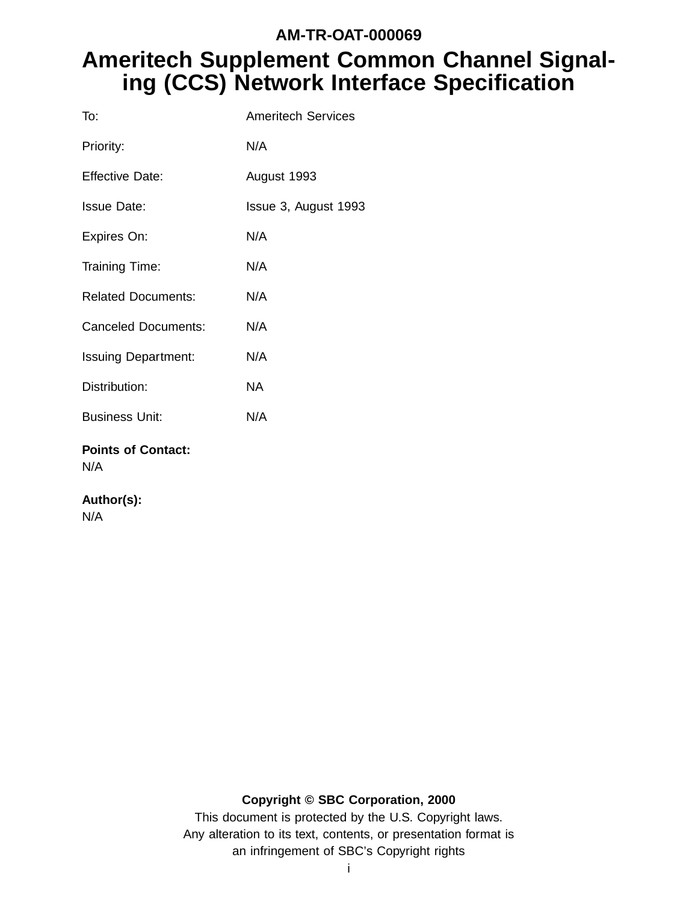## **AM-TR-OAT-000069**

# **Ameritech Supplement Common Channel Signaling (CCS) Network Interface Specification**

| To:                        | <b>Ameritech Services</b> |
|----------------------------|---------------------------|
| Priority:                  | N/A                       |
| <b>Effective Date:</b>     | August 1993               |
| <b>Issue Date:</b>         | Issue 3, August 1993      |
| Expires On:                | N/A                       |
| Training Time:             | N/A                       |
| <b>Related Documents:</b>  | N/A                       |
| <b>Canceled Documents:</b> | N/A                       |
| <b>Issuing Department:</b> | N/A                       |
| Distribution:              | NA                        |
| <b>Business Unit:</b>      | N/A                       |
| <b>Points of Contact:</b>  |                           |

N/A

# **Author(s):**

N/A

## **Copyright © SBC Corporation, 2000**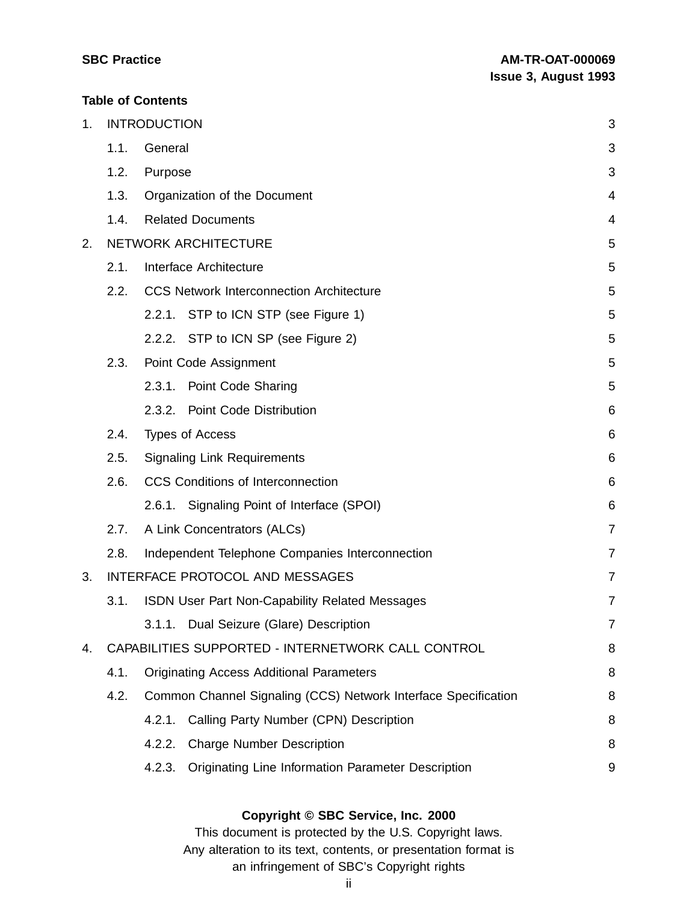#### **Table of Contents**

| 1. | <b>INTRODUCTION</b> |                                                                     |                 |
|----|---------------------|---------------------------------------------------------------------|-----------------|
|    | 1.1.                | General                                                             | 3               |
|    | 1.2.                | Purpose                                                             | 3               |
|    | 1.3.                | Organization of the Document                                        | $\overline{4}$  |
|    | 1.4.                | <b>Related Documents</b>                                            | 4               |
| 2. |                     | NETWORK ARCHITECTURE                                                |                 |
|    | 2.1.                | Interface Architecture                                              | 5               |
|    | 2.2.                | <b>CCS Network Interconnection Architecture</b>                     | 5               |
|    |                     | 2.2.1. STP to ICN STP (see Figure 1)                                | 5               |
|    |                     | 2.2.2. STP to ICN SP (see Figure 2)                                 | 5               |
|    | 2.3.                | <b>Point Code Assignment</b>                                        | 5               |
|    |                     | 2.3.1. Point Code Sharing                                           | 5               |
|    |                     | 2.3.2. Point Code Distribution                                      | 6               |
|    | 2.4.                | <b>Types of Access</b>                                              | $6\phantom{1}6$ |
|    | 2.5.                | <b>Signaling Link Requirements</b>                                  | 6               |
|    | 2.6.                | <b>CCS Conditions of Interconnection</b>                            | $6\phantom{1}6$ |
|    |                     | 2.6.1. Signaling Point of Interface (SPOI)                          | 6               |
|    | 2.7.                | A Link Concentrators (ALCs)                                         | $\overline{7}$  |
|    | 2.8.                | Independent Telephone Companies Interconnection                     | $\overline{7}$  |
| 3. |                     | INTERFACE PROTOCOL AND MESSAGES                                     | $\overline{7}$  |
|    | 3.1.                | ISDN User Part Non-Capability Related Messages                      | $\overline{7}$  |
|    |                     | 3.1.1. Dual Seizure (Glare) Description                             | 7               |
| 4. |                     | CAPABILITIES SUPPORTED - INTERNETWORK CALL CONTROL                  | 8               |
|    | 4.1.                | <b>Originating Access Additional Parameters</b>                     |                 |
|    | 4.2.                | Common Channel Signaling (CCS) Network Interface Specification      | 8               |
|    |                     | Calling Party Number (CPN) Description<br>4.2.1.                    | 8               |
|    |                     | <b>Charge Number Description</b><br>4.2.2.                          | 8               |
|    |                     | 4.2.3.<br><b>Originating Line Information Parameter Description</b> | 9               |
|    |                     |                                                                     |                 |

## **Copyright © SBC Service, Inc. 2000**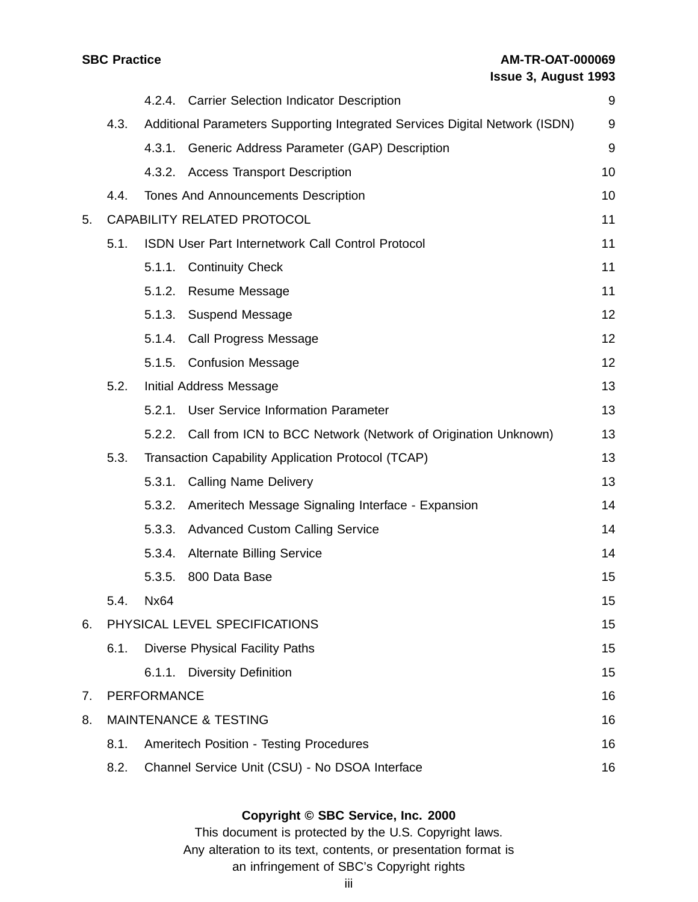|    |                                                                  |                                                                             | 4.2.4. Carrier Selection Indicator Description                | 9  |
|----|------------------------------------------------------------------|-----------------------------------------------------------------------------|---------------------------------------------------------------|----|
|    | 4.3.                                                             | Additional Parameters Supporting Integrated Services Digital Network (ISDN) |                                                               |    |
|    |                                                                  | 4.3.1.                                                                      | Generic Address Parameter (GAP) Description                   | 9  |
|    |                                                                  |                                                                             | 4.3.2. Access Transport Description                           | 10 |
|    | 4.4.                                                             |                                                                             | Tones And Announcements Description                           | 10 |
| 5. |                                                                  |                                                                             | <b>CAPABILITY RELATED PROTOCOL</b>                            | 11 |
|    | <b>ISDN User Part Internetwork Call Control Protocol</b><br>5.1. |                                                                             |                                                               | 11 |
|    |                                                                  |                                                                             | 5.1.1. Continuity Check                                       | 11 |
|    |                                                                  | 5.1.2.                                                                      | Resume Message                                                | 11 |
|    |                                                                  | 5.1.3.                                                                      | <b>Suspend Message</b>                                        | 12 |
|    |                                                                  | 5.1.4.                                                                      | <b>Call Progress Message</b>                                  | 12 |
|    |                                                                  | 5.1.5.                                                                      | <b>Confusion Message</b>                                      | 12 |
|    | 5.2.                                                             |                                                                             | Initial Address Message                                       | 13 |
|    |                                                                  | 5.2.1.                                                                      | User Service Information Parameter                            | 13 |
|    |                                                                  | 5.2.2.                                                                      | Call from ICN to BCC Network (Network of Origination Unknown) | 13 |
|    | 5.3.                                                             |                                                                             | Transaction Capability Application Protocol (TCAP)            | 13 |
|    |                                                                  | 5.3.1.                                                                      | <b>Calling Name Delivery</b>                                  | 13 |
|    |                                                                  | 5.3.2.                                                                      | Ameritech Message Signaling Interface - Expansion             | 14 |
|    |                                                                  | 5.3.3.                                                                      | <b>Advanced Custom Calling Service</b>                        | 14 |
|    |                                                                  | 5.3.4.                                                                      | <b>Alternate Billing Service</b>                              | 14 |
|    |                                                                  | 5.3.5.                                                                      | 800 Data Base                                                 | 15 |
|    | 5.4.                                                             | Nx64                                                                        |                                                               | 15 |
| 6. |                                                                  |                                                                             | PHYSICAL LEVEL SPECIFICATIONS                                 | 15 |
|    | 6.1.                                                             |                                                                             | <b>Diverse Physical Facility Paths</b>                        | 15 |
|    |                                                                  |                                                                             | 6.1.1. Diversity Definition                                   | 15 |
| 7. |                                                                  | <b>PERFORMANCE</b>                                                          |                                                               | 16 |
| 8. |                                                                  |                                                                             | <b>MAINTENANCE &amp; TESTING</b>                              | 16 |
|    | 8.1.                                                             |                                                                             | Ameritech Position - Testing Procedures                       | 16 |
|    | 8.2.                                                             |                                                                             | Channel Service Unit (CSU) - No DSOA Interface                | 16 |

## **Copyright © SBC Service, Inc. 2000**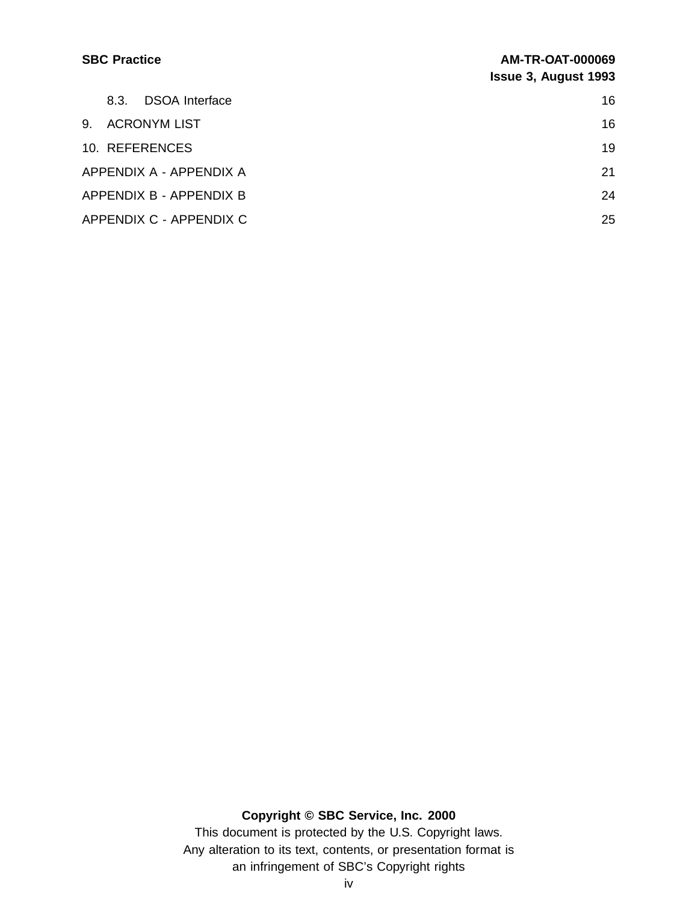| <b>SBC Practice</b>           | <b>AM-TR-OAT-000069</b><br><b>Issue 3, August 1993</b> |
|-------------------------------|--------------------------------------------------------|
| <b>DSOA</b> Interface<br>8.3. | 16                                                     |
| 9.<br><b>ACRONYM LIST</b>     | 16                                                     |
| 10. REFERENCES                | 19                                                     |
| APPENDIX A - APPENDIX A       | 21                                                     |
| APPENDIX B - APPENDIX B       | 24                                                     |
| APPENDIX C - APPENDIX C       | 25                                                     |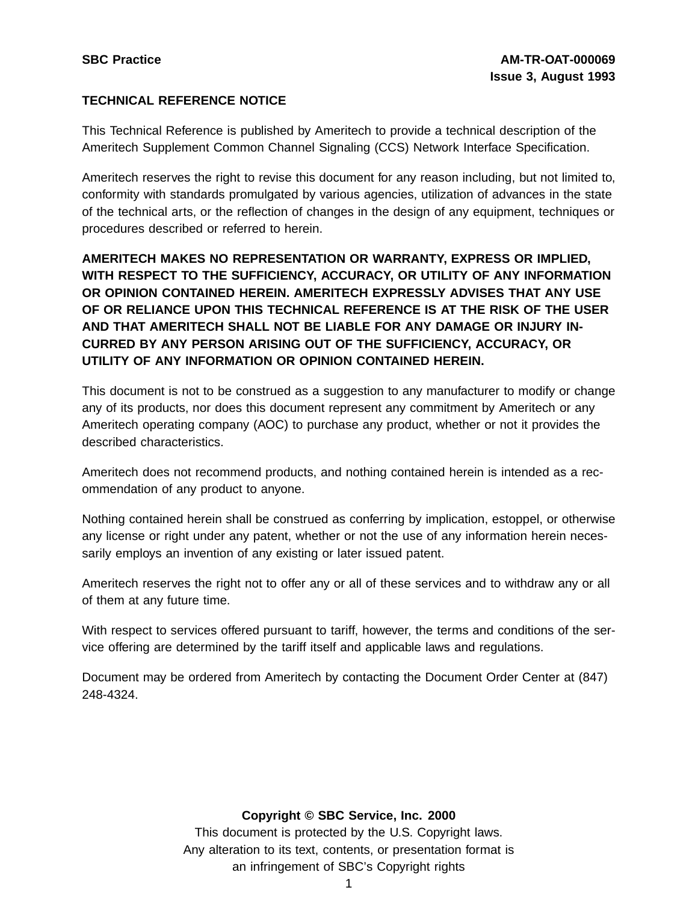## **TECHNICAL REFERENCE NOTICE**

This Technical Reference is published by Ameritech to provide a technical description of the Ameritech Supplement Common Channel Signaling (CCS) Network Interface Specification.

Ameritech reserves the right to revise this document for any reason including, but not limited to, conformity with standards promulgated by various agencies, utilization of advances in the state of the technical arts, or the reflection of changes in the design of any equipment, techniques or procedures described or referred to herein.

**AMERITECH MAKES NO REPRESENTATION OR WARRANTY, EXPRESS OR IMPLIED, WITH RESPECT TO THE SUFFICIENCY, ACCURACY, OR UTILITY OF ANY INFORMATION OR OPINION CONTAINED HEREIN. AMERITECH EXPRESSLY ADVISES THAT ANY USE OF OR RELIANCE UPON THIS TECHNICAL REFERENCE IS AT THE RISK OF THE USER AND THAT AMERITECH SHALL NOT BE LIABLE FOR ANY DAMAGE OR INJURY IN-CURRED BY ANY PERSON ARISING OUT OF THE SUFFICIENCY, ACCURACY, OR UTILITY OF ANY INFORMATION OR OPINION CONTAINED HEREIN.**

This document is not to be construed as a suggestion to any manufacturer to modify or change any of its products, nor does this document represent any commitment by Ameritech or any Ameritech operating company (AOC) to purchase any product, whether or not it provides the described characteristics.

Ameritech does not recommend products, and nothing contained herein is intended as a recommendation of any product to anyone.

Nothing contained herein shall be construed as conferring by implication, estoppel, or otherwise any license or right under any patent, whether or not the use of any information herein necessarily employs an invention of any existing or later issued patent.

Ameritech reserves the right not to offer any or all of these services and to withdraw any or all of them at any future time.

With respect to services offered pursuant to tariff, however, the terms and conditions of the service offering are determined by the tariff itself and applicable laws and regulations.

Document may be ordered from Ameritech by contacting the Document Order Center at (847) 248-4324.

#### **Copyright © SBC Service, Inc. 2000**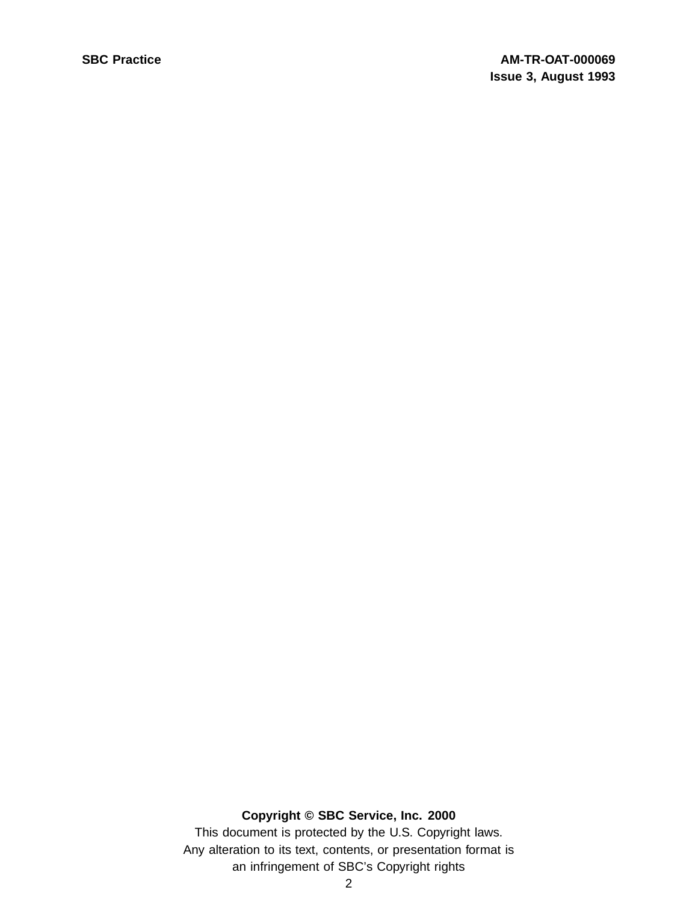## **Copyright © SBC Service, Inc. 2000**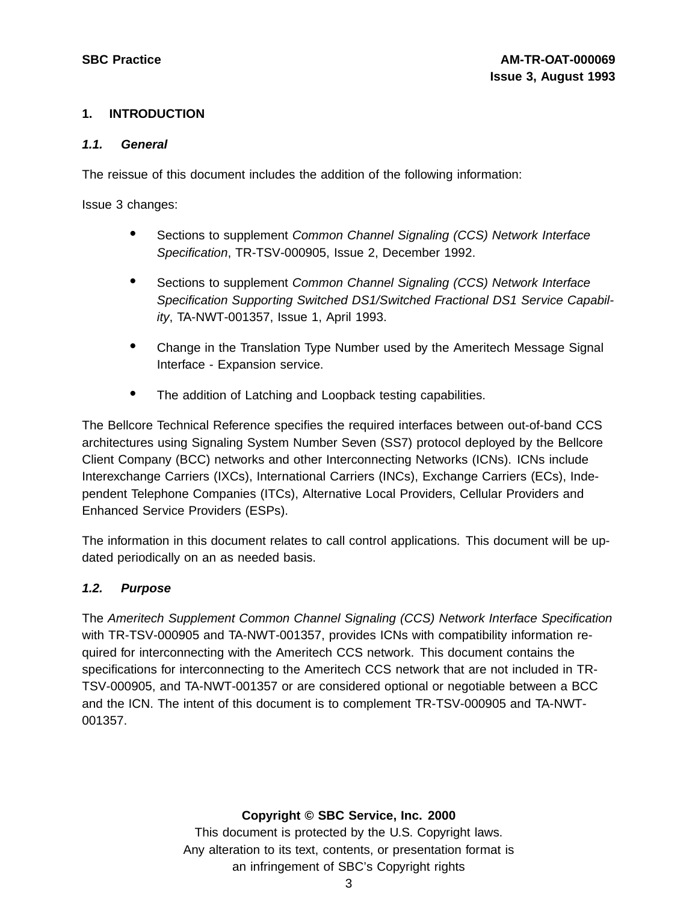## **1. INTRODUCTION**

#### **1.1. General**

The reissue of this document includes the addition of the following information:

Issue 3 changes:

- Sections to supplement Common Channel Signaling (CCS) Network Interface Specification, TR-TSV-000905, Issue 2, December 1992.
- Sections to supplement Common Channel Signaling (CCS) Network Interface Specification Supporting Switched DS1/Switched Fractional DS1 Service Capability, TA-NWT-001357, Issue 1, April 1993.
- Change in the Translation Type Number used by the Ameritech Message Signal Interface - Expansion service.
- The addition of Latching and Loopback testing capabilities.

The Bellcore Technical Reference specifies the required interfaces between out-of-band CCS architectures using Signaling System Number Seven (SS7) protocol deployed by the Bellcore Client Company (BCC) networks and other Interconnecting Networks (ICNs). ICNs include Interexchange Carriers (IXCs), International Carriers (INCs), Exchange Carriers (ECs), Independent Telephone Companies (ITCs), Alternative Local Providers, Cellular Providers and Enhanced Service Providers (ESPs).

The information in this document relates to call control applications. This document will be updated periodically on an as needed basis.

## **1.2. Purpose**

The Ameritech Supplement Common Channel Signaling (CCS) Network Interface Specification with TR-TSV-000905 and TA-NWT-001357, provides ICNs with compatibility information required for interconnecting with the Ameritech CCS network. This document contains the specifications for interconnecting to the Ameritech CCS network that are not included in TR-TSV-000905, and TA-NWT-001357 or are considered optional or negotiable between a BCC and the ICN. The intent of this document is to complement TR-TSV-000905 and TA-NWT-001357.

#### **Copyright © SBC Service, Inc. 2000**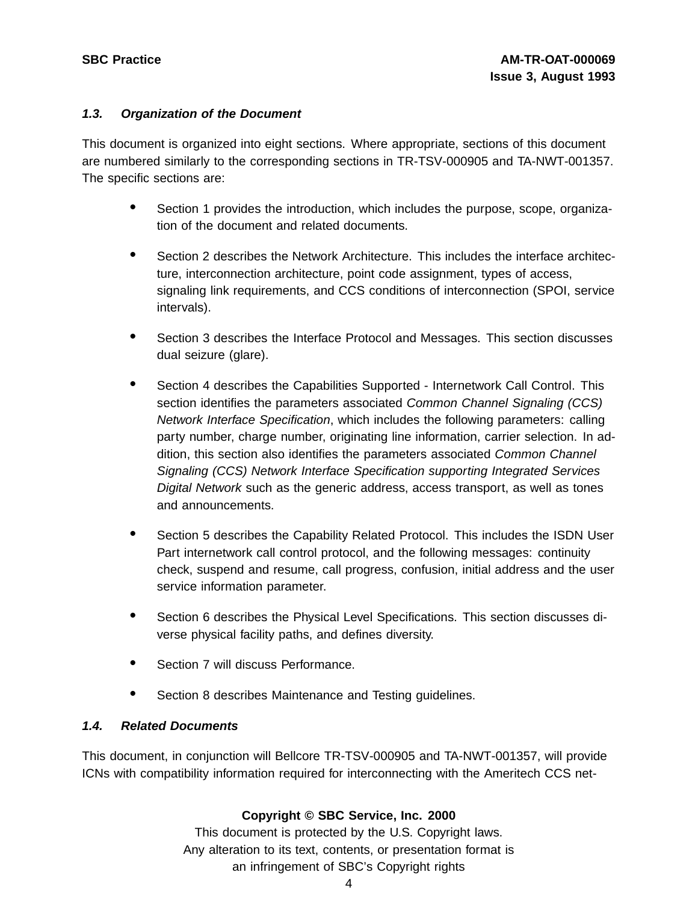#### **1.3. Organization of the Document**

This document is organized into eight sections. Where appropriate, sections of this document are numbered similarly to the corresponding sections in TR-TSV-000905 and TA-NWT-001357. The specific sections are:

- Section <sup>1</sup> provides the introduction, which includes the purpose, scope, organization of the document and related documents.
- Section <sup>2</sup> describes the Network Architecture. This includes the interface architecture, interconnection architecture, point code assignment, types of access, signaling link requirements, and CCS conditions of interconnection (SPOI, service intervals).
- Section <sup>3</sup> describes the Interface Protocol and Messages. This section discusses dual seizure (glare).
- Section <sup>4</sup> describes the Capabilities Supported Internetwork Call Control. This section identifies the parameters associated Common Channel Signaling (CCS) Network Interface Specification, which includes the following parameters: calling party number, charge number, originating line information, carrier selection. In addition, this section also identifies the parameters associated Common Channel Signaling (CCS) Network Interface Specification supporting Integrated Services Digital Network such as the generic address, access transport, as well as tones and announcements.
- Section <sup>5</sup> describes the Capability Related Protocol. This includes the ISDN User Part internetwork call control protocol, and the following messages: continuity check, suspend and resume, call progress, confusion, initial address and the user service information parameter.
- Section <sup>6</sup> describes the Physical Level Specifications. This section discusses diverse physical facility paths, and defines diversity.
- Section 7 will discuss Performance.
- Section 8 describes Maintenance and Testing guidelines.

## **1.4. Related Documents**

This document, in conjunction will Bellcore TR-TSV-000905 and TA-NWT-001357, will provide ICNs with compatibility information required for interconnecting with the Ameritech CCS net-

## **Copyright © SBC Service, Inc. 2000**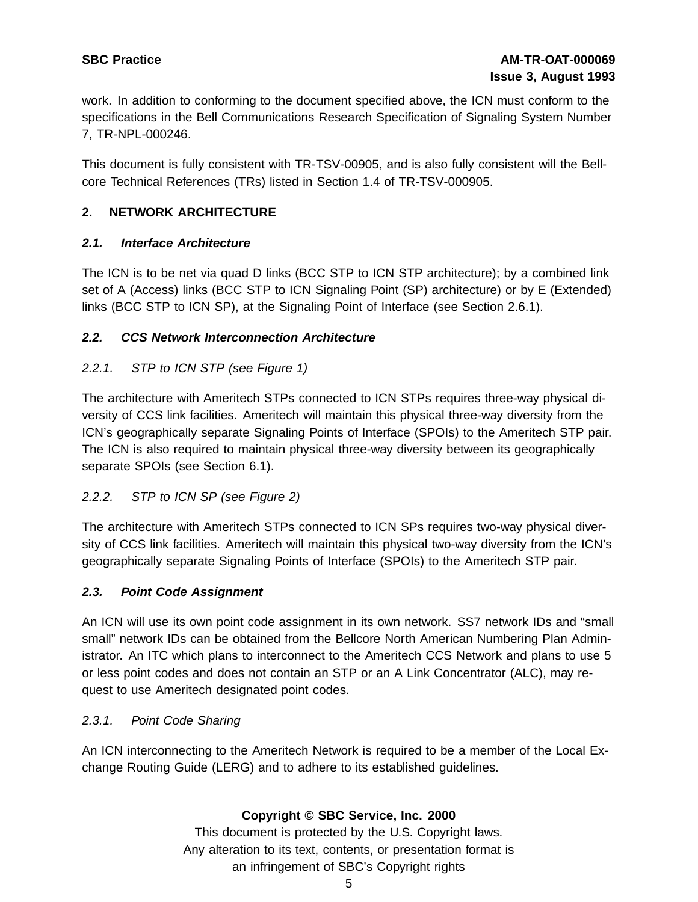work. In addition to conforming to the document specified above, the ICN must conform to the specifications in the Bell Communications Research Specification of Signaling System Number 7, TR-NPL-000246.

This document is fully consistent with TR-TSV-00905, and is also fully consistent will the Bellcore Technical References (TRs) listed in Section 1.4 of TR-TSV-000905.

## **2. NETWORK ARCHITECTURE**

## **2.1. Interface Architecture**

The ICN is to be net via quad D links (BCC STP to ICN STP architecture); by a combined link set of A (Access) links (BCC STP to ICN Signaling Point (SP) architecture) or by E (Extended) links (BCC STP to ICN SP), at the Signaling Point of Interface (see Section 2.6.1).

## **2.2. CCS Network Interconnection Architecture**

## 2.2.1. STP to ICN STP (see Figure 1)

The architecture with Ameritech STPs connected to ICN STPs requires three-way physical diversity of CCS link facilities. Ameritech will maintain this physical three-way diversity from the ICN's geographically separate Signaling Points of Interface (SPOIs) to the Ameritech STP pair. The ICN is also required to maintain physical three-way diversity between its geographically separate SPOIs (see Section 6.1).

## 2.2.2. STP to ICN SP (see Figure 2)

The architecture with Ameritech STPs connected to ICN SPs requires two-way physical diversity of CCS link facilities. Ameritech will maintain this physical two-way diversity from the ICN's geographically separate Signaling Points of Interface (SPOIs) to the Ameritech STP pair.

#### **2.3. Point Code Assignment**

An ICN will use its own point code assignment in its own network. SS7 network IDs and "small small" network IDs can be obtained from the Bellcore North American Numbering Plan Administrator. An ITC which plans to interconnect to the Ameritech CCS Network and plans to use 5 or less point codes and does not contain an STP or an A Link Concentrator (ALC), may request to use Ameritech designated point codes.

## 2.3.1. Point Code Sharing

An ICN interconnecting to the Ameritech Network is required to be a member of the Local Exchange Routing Guide (LERG) and to adhere to its established guidelines.

## **Copyright © SBC Service, Inc. 2000**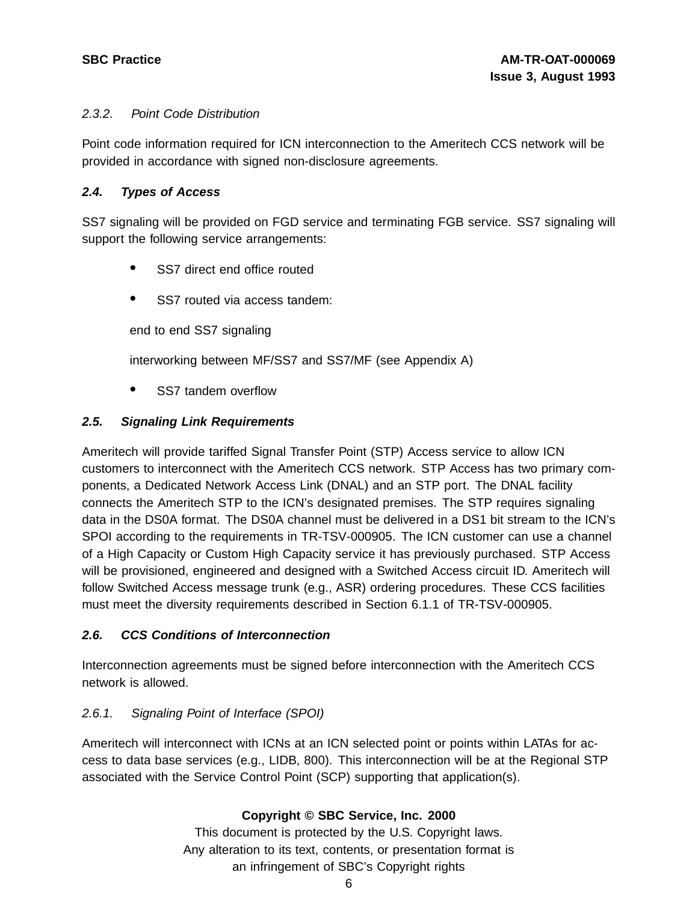## 2.3.2. Point Code Distribution

Point code information required for ICN interconnection to the Ameritech CCS network will be provided in accordance with signed non-disclosure agreements.

## **2.4. Types of Access**

SS7 signaling will be provided on FGD service and terminating FGB service. SS7 signaling will support the following service arrangements:

- SS7 direct end office routed
- SS7 routed via access tandem:

end to end SS7 signaling

interworking between MF/SS7 and SS7/MF (see Appendix A)

SS7 tandem overflow

## **2.5. Signaling Link Requirements**

Ameritech will provide tariffed Signal Transfer Point (STP) Access service to allow ICN customers to interconnect with the Ameritech CCS network. STP Access has two primary components, a Dedicated Network Access Link (DNAL) and an STP port. The DNAL facility connects the Ameritech STP to the ICN's designated premises. The STP requires signaling data in the DS0A format. The DS0A channel must be delivered in a DS1 bit stream to the ICN's SPOI according to the requirements in TR-TSV-000905. The ICN customer can use a channel of a High Capacity or Custom High Capacity service it has previously purchased. STP Access will be provisioned, engineered and designed with a Switched Access circuit ID. Ameritech will follow Switched Access message trunk (e.g., ASR) ordering procedures. These CCS facilities must meet the diversity requirements described in Section 6.1.1 of TR-TSV-000905.

## **2.6. CCS Conditions of Interconnection**

Interconnection agreements must be signed before interconnection with the Ameritech CCS network is allowed.

## 2.6.1. Signaling Point of Interface (SPOI)

Ameritech will interconnect with ICNs at an ICN selected point or points within LATAs for access to data base services (e.g., LIDB, 800). This interconnection will be at the Regional STP associated with the Service Control Point (SCP) supporting that application(s).

## **Copyright © SBC Service, Inc. 2000**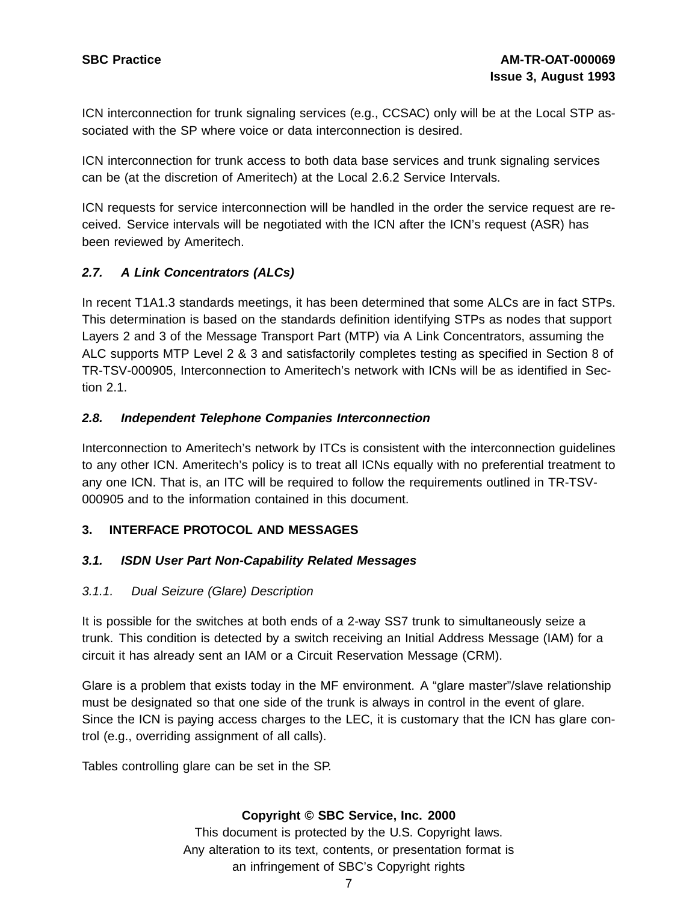ICN interconnection for trunk signaling services (e.g., CCSAC) only will be at the Local STP associated with the SP where voice or data interconnection is desired.

ICN interconnection for trunk access to both data base services and trunk signaling services can be (at the discretion of Ameritech) at the Local 2.6.2 Service Intervals.

ICN requests for service interconnection will be handled in the order the service request are received. Service intervals will be negotiated with the ICN after the ICN's request (ASR) has been reviewed by Ameritech.

## **2.7. A Link Concentrators (ALCs)**

In recent T1A1.3 standards meetings, it has been determined that some ALCs are in fact STPs. This determination is based on the standards definition identifying STPs as nodes that support Layers 2 and 3 of the Message Transport Part (MTP) via A Link Concentrators, assuming the ALC supports MTP Level 2 & 3 and satisfactorily completes testing as specified in Section 8 of TR-TSV-000905, Interconnection to Ameritech's network with ICNs will be as identified in Section 2.1.

## **2.8. Independent Telephone Companies Interconnection**

Interconnection to Ameritech's network by ITCs is consistent with the interconnection guidelines to any other ICN. Ameritech's policy is to treat all ICNs equally with no preferential treatment to any one ICN. That is, an ITC will be required to follow the requirements outlined in TR-TSV-000905 and to the information contained in this document.

## **3. INTERFACE PROTOCOL AND MESSAGES**

## **3.1. ISDN User Part Non-Capability Related Messages**

## 3.1.1. Dual Seizure (Glare) Description

It is possible for the switches at both ends of a 2-way SS7 trunk to simultaneously seize a trunk. This condition is detected by a switch receiving an Initial Address Message (IAM) for a circuit it has already sent an IAM or a Circuit Reservation Message (CRM).

Glare is a problem that exists today in the MF environment. A "glare master"/slave relationship must be designated so that one side of the trunk is always in control in the event of glare. Since the ICN is paying access charges to the LEC, it is customary that the ICN has glare control (e.g., overriding assignment of all calls).

Tables controlling glare can be set in the SP.

## **Copyright © SBC Service, Inc. 2000**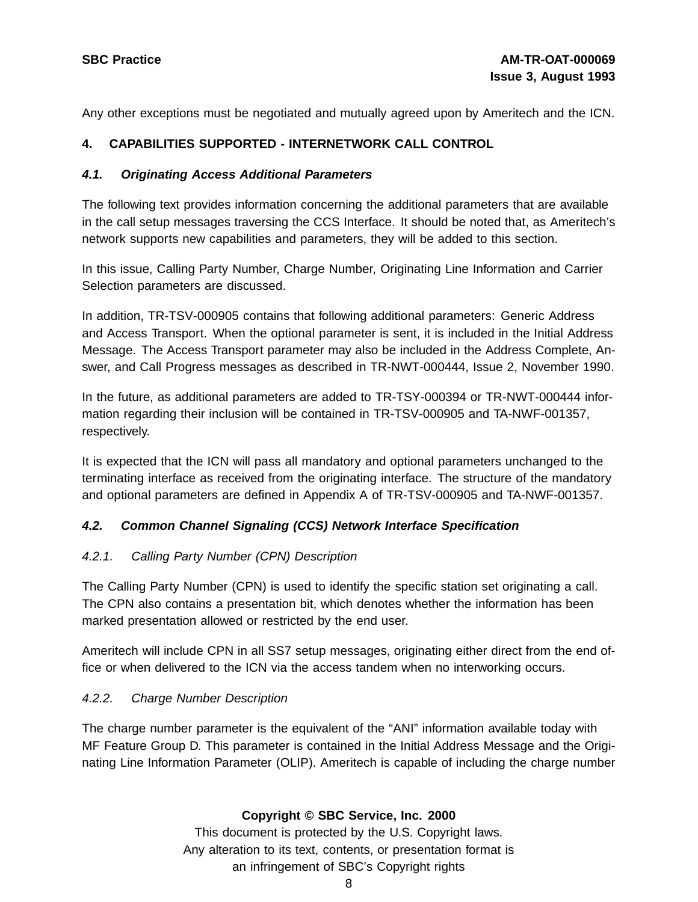Any other exceptions must be negotiated and mutually agreed upon by Ameritech and the ICN.

## **4. CAPABILITIES SUPPORTED - INTERNETWORK CALL CONTROL**

#### **4.1. Originating Access Additional Parameters**

The following text provides information concerning the additional parameters that are available in the call setup messages traversing the CCS Interface. It should be noted that, as Ameritech's network supports new capabilities and parameters, they will be added to this section.

In this issue, Calling Party Number, Charge Number, Originating Line Information and Carrier Selection parameters are discussed.

In addition, TR-TSV-000905 contains that following additional parameters: Generic Address and Access Transport. When the optional parameter is sent, it is included in the Initial Address Message. The Access Transport parameter may also be included in the Address Complete, Answer, and Call Progress messages as described in TR-NWT-000444, Issue 2, November 1990.

In the future, as additional parameters are added to TR-TSY-000394 or TR-NWT-000444 information regarding their inclusion will be contained in TR-TSV-000905 and TA-NWF-001357, respectively.

It is expected that the ICN will pass all mandatory and optional parameters unchanged to the terminating interface as received from the originating interface. The structure of the mandatory and optional parameters are defined in Appendix A of TR-TSV-000905 and TA-NWF-001357.

#### **4.2. Common Channel Signaling (CCS) Network Interface Specification**

#### 4.2.1. Calling Party Number (CPN) Description

The Calling Party Number (CPN) is used to identify the specific station set originating a call. The CPN also contains a presentation bit, which denotes whether the information has been marked presentation allowed or restricted by the end user.

Ameritech will include CPN in all SS7 setup messages, originating either direct from the end office or when delivered to the ICN via the access tandem when no interworking occurs.

#### 4.2.2. Charge Number Description

The charge number parameter is the equivalent of the "ANI" information available today with MF Feature Group D. This parameter is contained in the Initial Address Message and the Originating Line Information Parameter (OLIP). Ameritech is capable of including the charge number

#### **Copyright © SBC Service, Inc. 2000**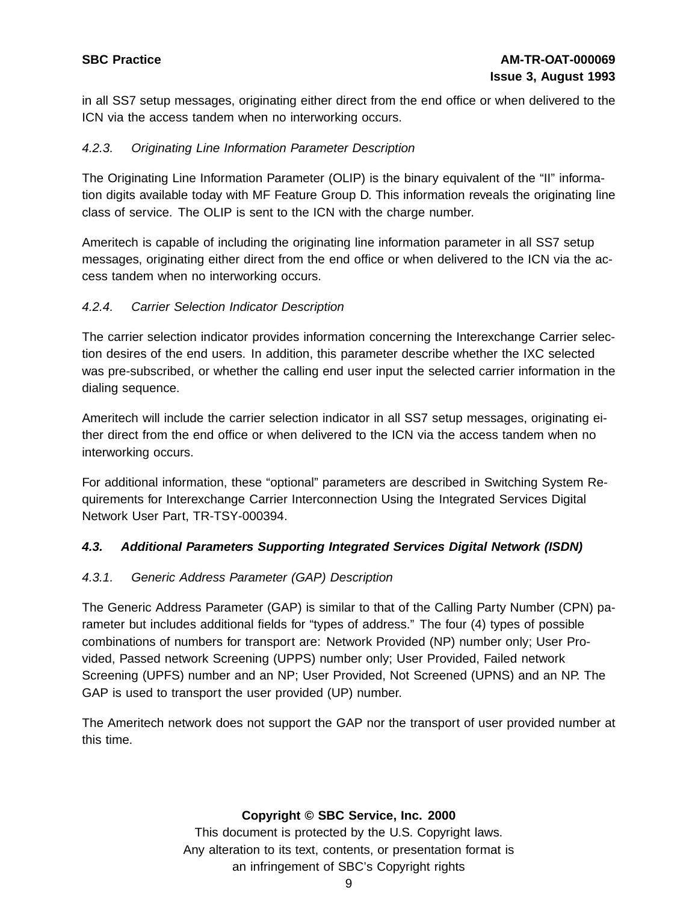in all SS7 setup messages, originating either direct from the end office or when delivered to the ICN via the access tandem when no interworking occurs.

## 4.2.3. Originating Line Information Parameter Description

The Originating Line Information Parameter (OLIP) is the binary equivalent of the "II" information digits available today with MF Feature Group D. This information reveals the originating line class of service. The OLIP is sent to the ICN with the charge number.

Ameritech is capable of including the originating line information parameter in all SS7 setup messages, originating either direct from the end office or when delivered to the ICN via the access tandem when no interworking occurs.

## 4.2.4. Carrier Selection Indicator Description

The carrier selection indicator provides information concerning the Interexchange Carrier selection desires of the end users. In addition, this parameter describe whether the IXC selected was pre-subscribed, or whether the calling end user input the selected carrier information in the dialing sequence.

Ameritech will include the carrier selection indicator in all SS7 setup messages, originating either direct from the end office or when delivered to the ICN via the access tandem when no interworking occurs.

For additional information, these "optional" parameters are described in Switching System Requirements for Interexchange Carrier Interconnection Using the Integrated Services Digital Network User Part, TR-TSY-000394.

#### **4.3. Additional Parameters Supporting Integrated Services Digital Network (ISDN)**

#### 4.3.1. Generic Address Parameter (GAP) Description

The Generic Address Parameter (GAP) is similar to that of the Calling Party Number (CPN) parameter but includes additional fields for "types of address." The four (4) types of possible combinations of numbers for transport are: Network Provided (NP) number only; User Provided, Passed network Screening (UPPS) number only; User Provided, Failed network Screening (UPFS) number and an NP; User Provided, Not Screened (UPNS) and an NP. The GAP is used to transport the user provided (UP) number.

The Ameritech network does not support the GAP nor the transport of user provided number at this time.

**Copyright © SBC Service, Inc. 2000**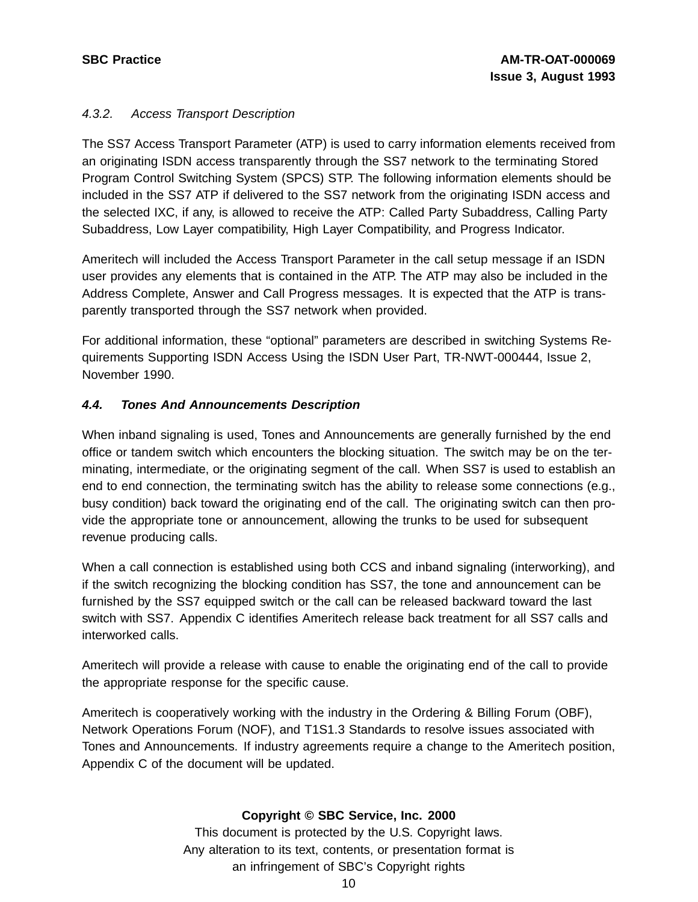## 4.3.2. Access Transport Description

The SS7 Access Transport Parameter (ATP) is used to carry information elements received from an originating ISDN access transparently through the SS7 network to the terminating Stored Program Control Switching System (SPCS) STP. The following information elements should be included in the SS7 ATP if delivered to the SS7 network from the originating ISDN access and the selected IXC, if any, is allowed to receive the ATP: Called Party Subaddress, Calling Party Subaddress, Low Layer compatibility, High Layer Compatibility, and Progress Indicator.

Ameritech will included the Access Transport Parameter in the call setup message if an ISDN user provides any elements that is contained in the ATP. The ATP may also be included in the Address Complete, Answer and Call Progress messages. It is expected that the ATP is transparently transported through the SS7 network when provided.

For additional information, these "optional" parameters are described in switching Systems Requirements Supporting ISDN Access Using the ISDN User Part, TR-NWT-000444, Issue 2, November 1990.

## **4.4. Tones And Announcements Description**

When inband signaling is used, Tones and Announcements are generally furnished by the end office or tandem switch which encounters the blocking situation. The switch may be on the terminating, intermediate, or the originating segment of the call. When SS7 is used to establish an end to end connection, the terminating switch has the ability to release some connections (e.g., busy condition) back toward the originating end of the call. The originating switch can then provide the appropriate tone or announcement, allowing the trunks to be used for subsequent revenue producing calls.

When a call connection is established using both CCS and inband signaling (interworking), and if the switch recognizing the blocking condition has SS7, the tone and announcement can be furnished by the SS7 equipped switch or the call can be released backward toward the last switch with SS7. Appendix C identifies Ameritech release back treatment for all SS7 calls and interworked calls.

Ameritech will provide a release with cause to enable the originating end of the call to provide the appropriate response for the specific cause.

Ameritech is cooperatively working with the industry in the Ordering & Billing Forum (OBF), Network Operations Forum (NOF), and T1S1.3 Standards to resolve issues associated with Tones and Announcements. If industry agreements require a change to the Ameritech position, Appendix C of the document will be updated.

#### **Copyright © SBC Service, Inc. 2000**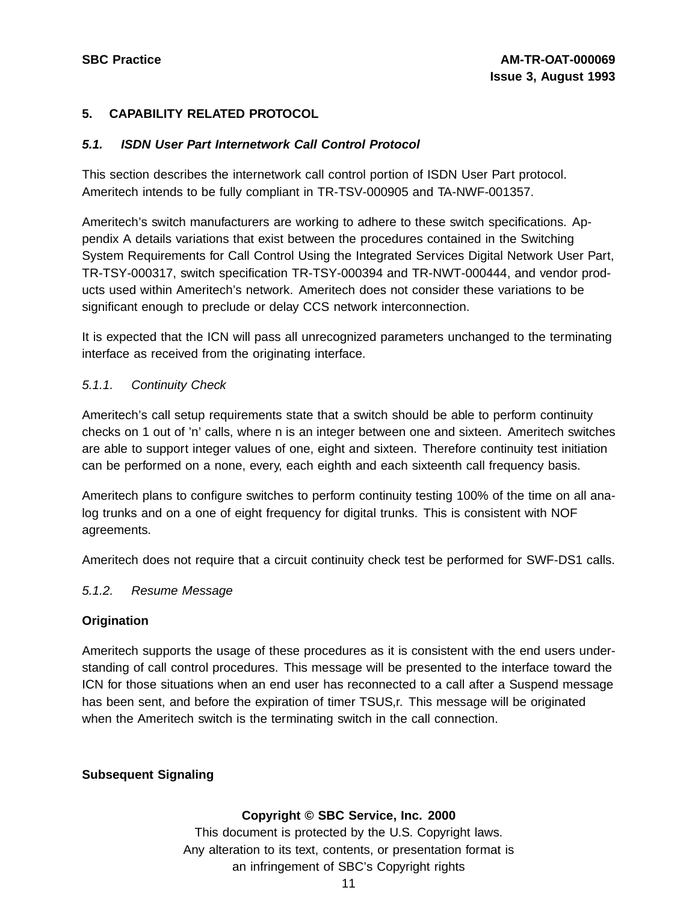## **5. CAPABILITY RELATED PROTOCOL**

#### **5.1. ISDN User Part Internetwork Call Control Protocol**

This section describes the internetwork call control portion of ISDN User Part protocol. Ameritech intends to be fully compliant in TR-TSV-000905 and TA-NWF-001357.

Ameritech's switch manufacturers are working to adhere to these switch specifications. Appendix A details variations that exist between the procedures contained in the Switching System Requirements for Call Control Using the Integrated Services Digital Network User Part, TR-TSY-000317, switch specification TR-TSY-000394 and TR-NWT-000444, and vendor products used within Ameritech's network. Ameritech does not consider these variations to be significant enough to preclude or delay CCS network interconnection.

It is expected that the ICN will pass all unrecognized parameters unchanged to the terminating interface as received from the originating interface.

#### 5.1.1. Continuity Check

Ameritech's call setup requirements state that a switch should be able to perform continuity checks on 1 out of 'n' calls, where n is an integer between one and sixteen. Ameritech switches are able to support integer values of one, eight and sixteen. Therefore continuity test initiation can be performed on a none, every, each eighth and each sixteenth call frequency basis.

Ameritech plans to configure switches to perform continuity testing 100% of the time on all analog trunks and on a one of eight frequency for digital trunks. This is consistent with NOF agreements.

Ameritech does not require that a circuit continuity check test be performed for SWF-DS1 calls.

#### 5.1.2. Resume Message

#### **Origination**

Ameritech supports the usage of these procedures as it is consistent with the end users understanding of call control procedures. This message will be presented to the interface toward the ICN for those situations when an end user has reconnected to a call after a Suspend message has been sent, and before the expiration of timer TSUS,r. This message will be originated when the Ameritech switch is the terminating switch in the call connection.

#### **Subsequent Signaling**

#### **Copyright © SBC Service, Inc. 2000**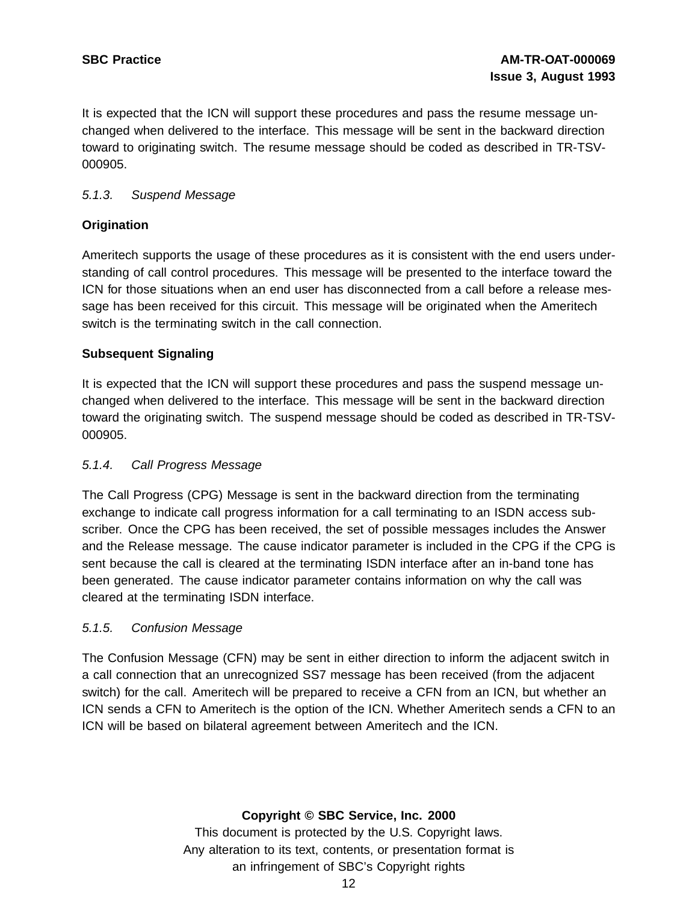It is expected that the ICN will support these procedures and pass the resume message unchanged when delivered to the interface. This message will be sent in the backward direction toward to originating switch. The resume message should be coded as described in TR-TSV-000905.

## 5.1.3. Suspend Message

## **Origination**

Ameritech supports the usage of these procedures as it is consistent with the end users understanding of call control procedures. This message will be presented to the interface toward the ICN for those situations when an end user has disconnected from a call before a release message has been received for this circuit. This message will be originated when the Ameritech switch is the terminating switch in the call connection.

## **Subsequent Signaling**

It is expected that the ICN will support these procedures and pass the suspend message unchanged when delivered to the interface. This message will be sent in the backward direction toward the originating switch. The suspend message should be coded as described in TR-TSV-000905.

## 5.1.4. Call Progress Message

The Call Progress (CPG) Message is sent in the backward direction from the terminating exchange to indicate call progress information for a call terminating to an ISDN access subscriber. Once the CPG has been received, the set of possible messages includes the Answer and the Release message. The cause indicator parameter is included in the CPG if the CPG is sent because the call is cleared at the terminating ISDN interface after an in-band tone has been generated. The cause indicator parameter contains information on why the call was cleared at the terminating ISDN interface.

#### 5.1.5. Confusion Message

The Confusion Message (CFN) may be sent in either direction to inform the adjacent switch in a call connection that an unrecognized SS7 message has been received (from the adjacent switch) for the call. Ameritech will be prepared to receive a CFN from an ICN, but whether an ICN sends a CFN to Ameritech is the option of the ICN. Whether Ameritech sends a CFN to an ICN will be based on bilateral agreement between Ameritech and the ICN.

#### **Copyright © SBC Service, Inc. 2000**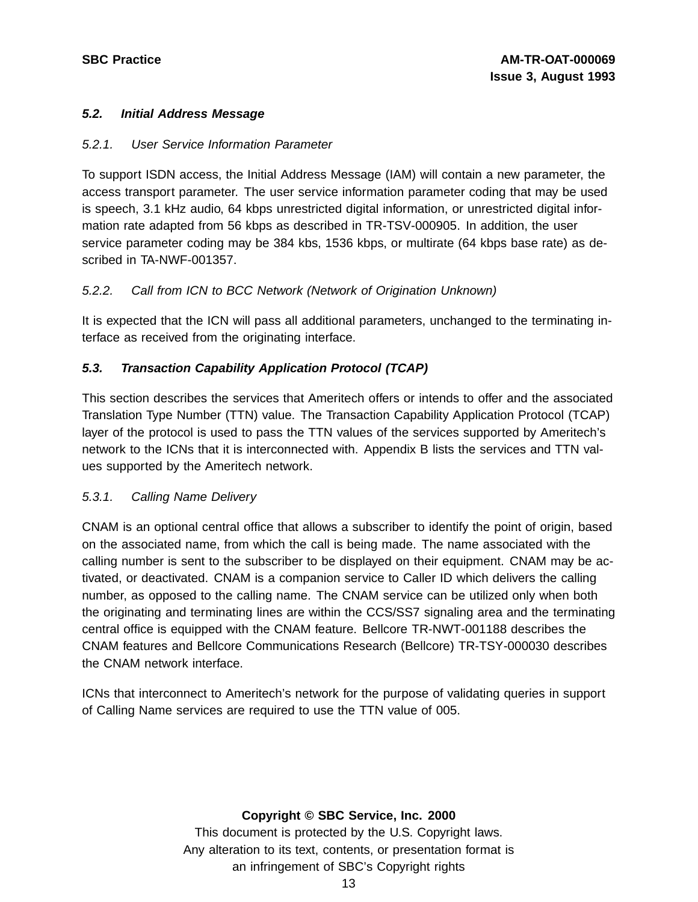#### **5.2. Initial Address Message**

#### 5.2.1. User Service Information Parameter

To support ISDN access, the Initial Address Message (IAM) will contain a new parameter, the access transport parameter. The user service information parameter coding that may be used is speech, 3.1 kHz audio, 64 kbps unrestricted digital information, or unrestricted digital information rate adapted from 56 kbps as described in TR-TSV-000905. In addition, the user service parameter coding may be 384 kbs, 1536 kbps, or multirate (64 kbps base rate) as described in TA-NWF-001357.

#### 5.2.2. Call from ICN to BCC Network (Network of Origination Unknown)

It is expected that the ICN will pass all additional parameters, unchanged to the terminating interface as received from the originating interface.

## **5.3. Transaction Capability Application Protocol (TCAP)**

This section describes the services that Ameritech offers or intends to offer and the associated Translation Type Number (TTN) value. The Transaction Capability Application Protocol (TCAP) layer of the protocol is used to pass the TTN values of the services supported by Ameritech's network to the ICNs that it is interconnected with. Appendix B lists the services and TTN values supported by the Ameritech network.

#### 5.3.1. Calling Name Delivery

CNAM is an optional central office that allows a subscriber to identify the point of origin, based on the associated name, from which the call is being made. The name associated with the calling number is sent to the subscriber to be displayed on their equipment. CNAM may be activated, or deactivated. CNAM is a companion service to Caller ID which delivers the calling number, as opposed to the calling name. The CNAM service can be utilized only when both the originating and terminating lines are within the CCS/SS7 signaling area and the terminating central office is equipped with the CNAM feature. Bellcore TR-NWT-001188 describes the CNAM features and Bellcore Communications Research (Bellcore) TR-TSY-000030 describes the CNAM network interface.

ICNs that interconnect to Ameritech's network for the purpose of validating queries in support of Calling Name services are required to use the TTN value of 005.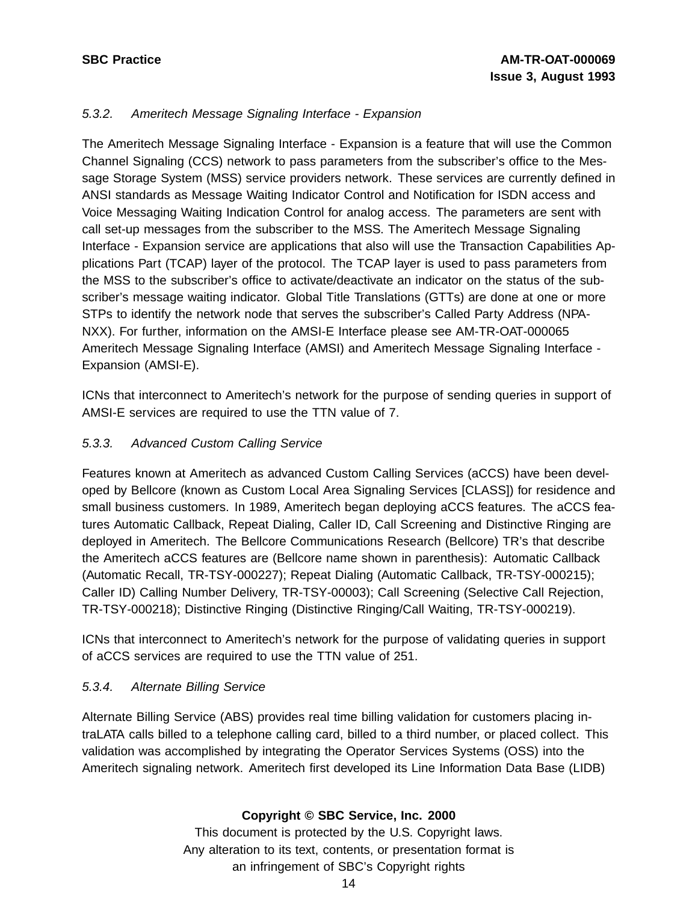## 5.3.2. Ameritech Message Signaling Interface - Expansion

The Ameritech Message Signaling Interface - Expansion is a feature that will use the Common Channel Signaling (CCS) network to pass parameters from the subscriber's office to the Message Storage System (MSS) service providers network. These services are currently defined in ANSI standards as Message Waiting Indicator Control and Notification for ISDN access and Voice Messaging Waiting Indication Control for analog access. The parameters are sent with call set-up messages from the subscriber to the MSS. The Ameritech Message Signaling Interface - Expansion service are applications that also will use the Transaction Capabilities Applications Part (TCAP) layer of the protocol. The TCAP layer is used to pass parameters from the MSS to the subscriber's office to activate/deactivate an indicator on the status of the subscriber's message waiting indicator. Global Title Translations (GTTs) are done at one or more STPs to identify the network node that serves the subscriber's Called Party Address (NPA-NXX). For further, information on the AMSI-E Interface please see AM-TR-OAT-000065 Ameritech Message Signaling Interface (AMSI) and Ameritech Message Signaling Interface - Expansion (AMSI-E).

ICNs that interconnect to Ameritech's network for the purpose of sending queries in support of AMSI-E services are required to use the TTN value of 7.

#### 5.3.3. Advanced Custom Calling Service

Features known at Ameritech as advanced Custom Calling Services (aCCS) have been developed by Bellcore (known as Custom Local Area Signaling Services [CLASS]) for residence and small business customers. In 1989, Ameritech began deploying aCCS features. The aCCS features Automatic Callback, Repeat Dialing, Caller ID, Call Screening and Distinctive Ringing are deployed in Ameritech. The Bellcore Communications Research (Bellcore) TR's that describe the Ameritech aCCS features are (Bellcore name shown in parenthesis): Automatic Callback (Automatic Recall, TR-TSY-000227); Repeat Dialing (Automatic Callback, TR-TSY-000215); Caller ID) Calling Number Delivery, TR-TSY-00003); Call Screening (Selective Call Rejection, TR-TSY-000218); Distinctive Ringing (Distinctive Ringing/Call Waiting, TR-TSY-000219).

ICNs that interconnect to Ameritech's network for the purpose of validating queries in support of aCCS services are required to use the TTN value of 251.

#### 5.3.4. Alternate Billing Service

Alternate Billing Service (ABS) provides real time billing validation for customers placing intraLATA calls billed to a telephone calling card, billed to a third number, or placed collect. This validation was accomplished by integrating the Operator Services Systems (OSS) into the Ameritech signaling network. Ameritech first developed its Line Information Data Base (LIDB)

## **Copyright © SBC Service, Inc. 2000**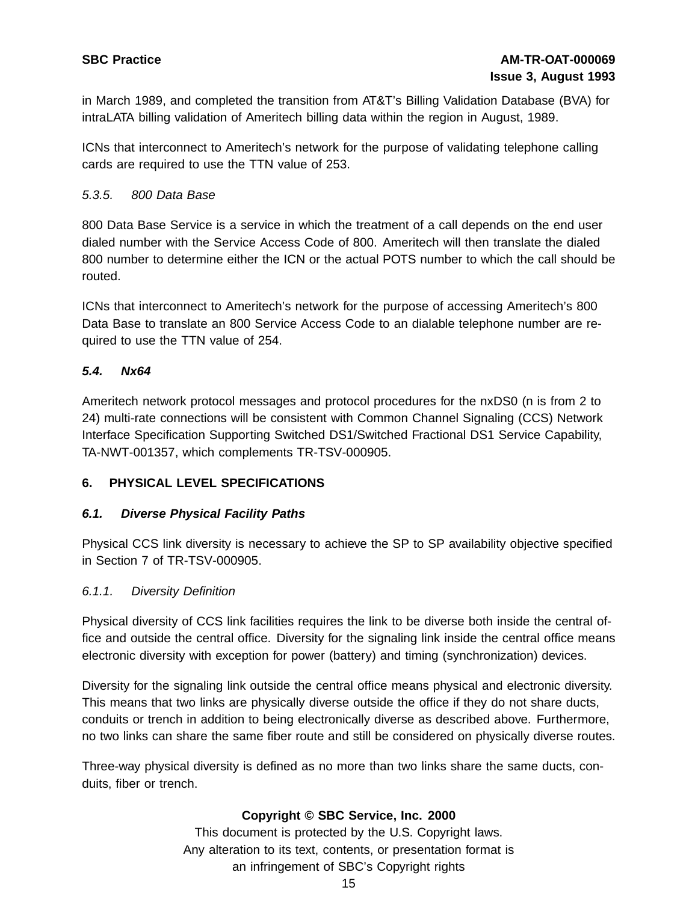in March 1989, and completed the transition from AT&T's Billing Validation Database (BVA) for intraLATA billing validation of Ameritech billing data within the region in August, 1989.

ICNs that interconnect to Ameritech's network for the purpose of validating telephone calling cards are required to use the TTN value of 253.

## 5.3.5. 800 Data Base

800 Data Base Service is a service in which the treatment of a call depends on the end user dialed number with the Service Access Code of 800. Ameritech will then translate the dialed 800 number to determine either the ICN or the actual POTS number to which the call should be routed.

ICNs that interconnect to Ameritech's network for the purpose of accessing Ameritech's 800 Data Base to translate an 800 Service Access Code to an dialable telephone number are required to use the TTN value of 254.

## **5.4. Nx64**

Ameritech network protocol messages and protocol procedures for the nxDS0 (n is from 2 to 24) multi-rate connections will be consistent with Common Channel Signaling (CCS) Network Interface Specification Supporting Switched DS1/Switched Fractional DS1 Service Capability, TA-NWT-001357, which complements TR-TSV-000905.

## **6. PHYSICAL LEVEL SPECIFICATIONS**

## **6.1. Diverse Physical Facility Paths**

Physical CCS link diversity is necessary to achieve the SP to SP availability objective specified in Section 7 of TR-TSV-000905.

## 6.1.1. Diversity Definition

Physical diversity of CCS link facilities requires the link to be diverse both inside the central office and outside the central office. Diversity for the signaling link inside the central office means electronic diversity with exception for power (battery) and timing (synchronization) devices.

Diversity for the signaling link outside the central office means physical and electronic diversity. This means that two links are physically diverse outside the office if they do not share ducts, conduits or trench in addition to being electronically diverse as described above. Furthermore, no two links can share the same fiber route and still be considered on physically diverse routes.

Three-way physical diversity is defined as no more than two links share the same ducts, conduits, fiber or trench.

## **Copyright © SBC Service, Inc. 2000**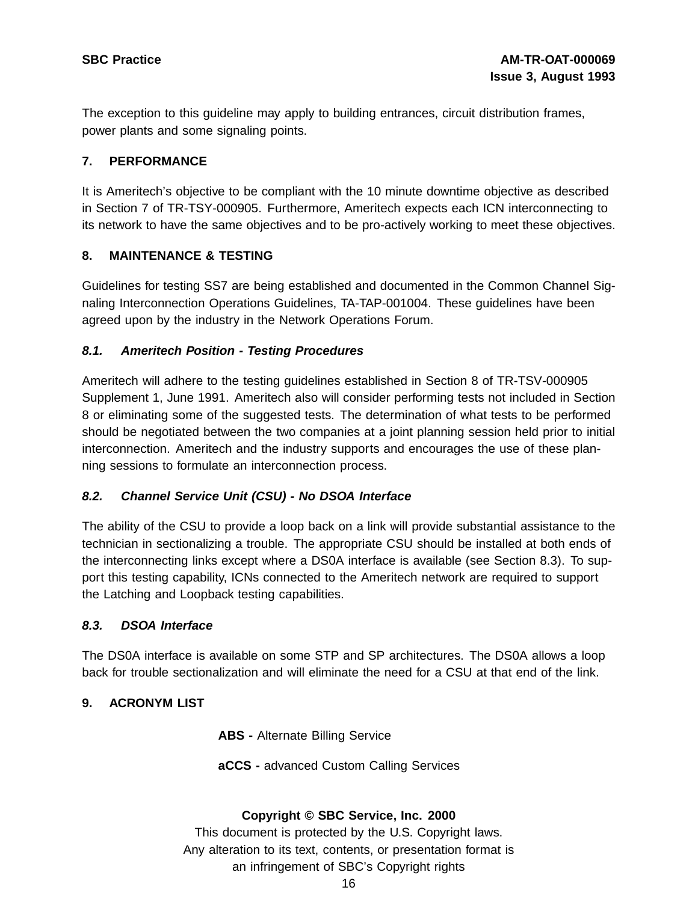The exception to this guideline may apply to building entrances, circuit distribution frames, power plants and some signaling points.

## **7. PERFORMANCE**

It is Ameritech's objective to be compliant with the 10 minute downtime objective as described in Section 7 of TR-TSY-000905. Furthermore, Ameritech expects each ICN interconnecting to its network to have the same objectives and to be pro-actively working to meet these objectives.

## **8. MAINTENANCE & TESTING**

Guidelines for testing SS7 are being established and documented in the Common Channel Signaling Interconnection Operations Guidelines, TA-TAP-001004. These guidelines have been agreed upon by the industry in the Network Operations Forum.

## **8.1. Ameritech Position - Testing Procedures**

Ameritech will adhere to the testing guidelines established in Section 8 of TR-TSV-000905 Supplement 1, June 1991. Ameritech also will consider performing tests not included in Section 8 or eliminating some of the suggested tests. The determination of what tests to be performed should be negotiated between the two companies at a joint planning session held prior to initial interconnection. Ameritech and the industry supports and encourages the use of these planning sessions to formulate an interconnection process.

#### **8.2. Channel Service Unit (CSU) - No DSOA Interface**

The ability of the CSU to provide a loop back on a link will provide substantial assistance to the technician in sectionalizing a trouble. The appropriate CSU should be installed at both ends of the interconnecting links except where a DS0A interface is available (see Section 8.3). To support this testing capability, ICNs connected to the Ameritech network are required to support the Latching and Loopback testing capabilities.

#### **8.3. DSOA Interface**

The DS0A interface is available on some STP and SP architectures. The DS0A allows a loop back for trouble sectionalization and will eliminate the need for a CSU at that end of the link.

## **9. ACRONYM LIST**

**ABS -** Alternate Billing Service

**aCCS -** advanced Custom Calling Services

#### **Copyright © SBC Service, Inc. 2000**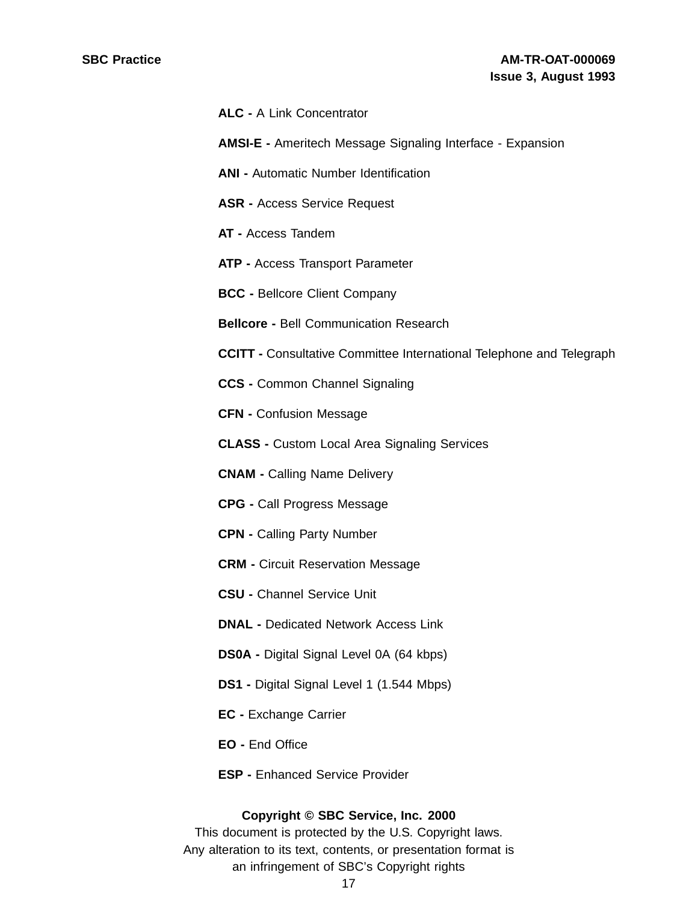| <b>ALC - A Link Concentrator</b>                                            |
|-----------------------------------------------------------------------------|
| <b>AMSI-E - Ameritech Message Signaling Interface - Expansion</b>           |
| <b>ANI - Automatic Number Identification</b>                                |
| <b>ASR - Access Service Request</b>                                         |
| AT - Access Tandem                                                          |
| <b>ATP - Access Transport Parameter</b>                                     |
| <b>BCC - Bellcore Client Company</b>                                        |
| <b>Bellcore - Bell Communication Research</b>                               |
| <b>CCITT</b> - Consultative Committee International Telephone and Telegraph |
| <b>CCS - Common Channel Signaling</b>                                       |
| <b>CFN - Confusion Message</b>                                              |
| <b>CLASS - Custom Local Area Signaling Services</b>                         |
| <b>CNAM - Calling Name Delivery</b>                                         |
| <b>CPG - Call Progress Message</b>                                          |
| <b>CPN - Calling Party Number</b>                                           |
| <b>CRM - Circuit Reservation Message</b>                                    |
| <b>CSU - Channel Service Unit</b>                                           |
| <b>DNAL - Dedicated Network Access Link</b>                                 |
| <b>DS0A</b> - Digital Signal Level 0A (64 kbps)                             |
| DS1 - Digital Signal Level 1 (1.544 Mbps)                                   |
| <b>EC</b> - Exchange Carrier                                                |
| EO - End Office                                                             |

**ESP -** Enhanced Service Provider

## **Copyright © SBC Service, Inc. 2000**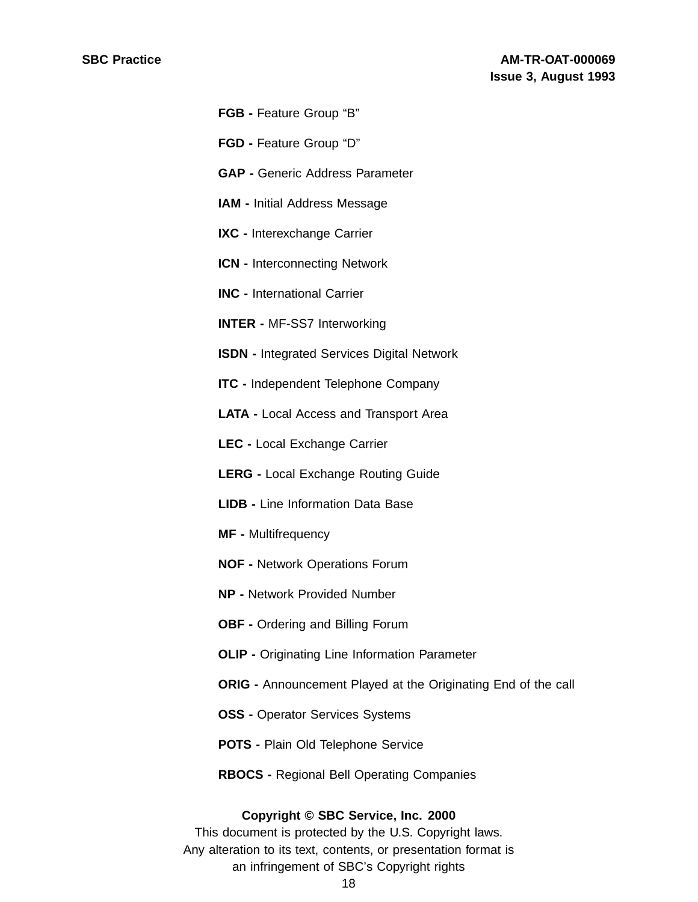- **FGB -** Feature Group "B"
- **FGD -** Feature Group "D"
- **GAP -** Generic Address Parameter
- **IAM -** Initial Address Message
- **IXC -** Interexchange Carrier
- **ICN -** Interconnecting Network
- **INC -** International Carrier
- **INTER -** MF-SS7 Interworking
- **ISDN -** Integrated Services Digital Network
- **ITC -** Independent Telephone Company
- **LATA -** Local Access and Transport Area
- **LEC -** Local Exchange Carrier
- **LERG -** Local Exchange Routing Guide
- **LIDB -** Line Information Data Base
- **MF -** Multifrequency
- **NOF -** Network Operations Forum
- **NP -** Network Provided Number
- **OBF -** Ordering and Billing Forum
- **OLIP -** Originating Line Information Parameter
- **ORIG -** Announcement Played at the Originating End of the call
- **OSS -** Operator Services Systems
- **POTS -** Plain Old Telephone Service
- **RBOCS -** Regional Bell Operating Companies

#### **Copyright © SBC Service, Inc. 2000**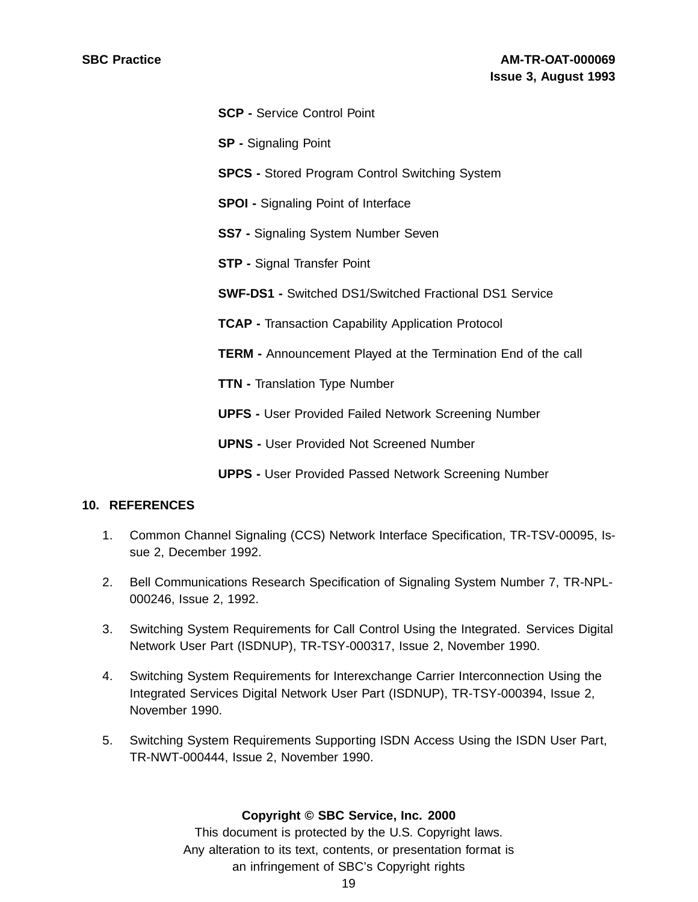- **SCP -** Service Control Point
- **SP -** Signaling Point
- **SPCS -** Stored Program Control Switching System
- **SPOI -** Signaling Point of Interface
- **SS7 -** Signaling System Number Seven
- **STP -** Signal Transfer Point
- **SWF-DS1 -** Switched DS1/Switched Fractional DS1 Service
- **TCAP -** Transaction Capability Application Protocol
- **TERM -** Announcement Played at the Termination End of the call
- **TTN -** Translation Type Number
- **UPFS -** User Provided Failed Network Screening Number
- **UPNS -** User Provided Not Screened Number
- **UPPS -** User Provided Passed Network Screening Number

#### **10. REFERENCES**

- 1. Common Channel Signaling (CCS) Network Interface Specification, TR-TSV-00095, Issue 2, December 1992.
- 2. Bell Communications Research Specification of Signaling System Number 7, TR-NPL-000246, Issue 2, 1992.
- 3. Switching System Requirements for Call Control Using the Integrated. Services Digital Network User Part (ISDNUP), TR-TSY-000317, Issue 2, November 1990.
- 4. Switching System Requirements for Interexchange Carrier Interconnection Using the Integrated Services Digital Network User Part (ISDNUP), TR-TSY-000394, Issue 2, November 1990.
- 5. Switching System Requirements Supporting ISDN Access Using the ISDN User Part, TR-NWT-000444, Issue 2, November 1990.

#### **Copyright © SBC Service, Inc. 2000**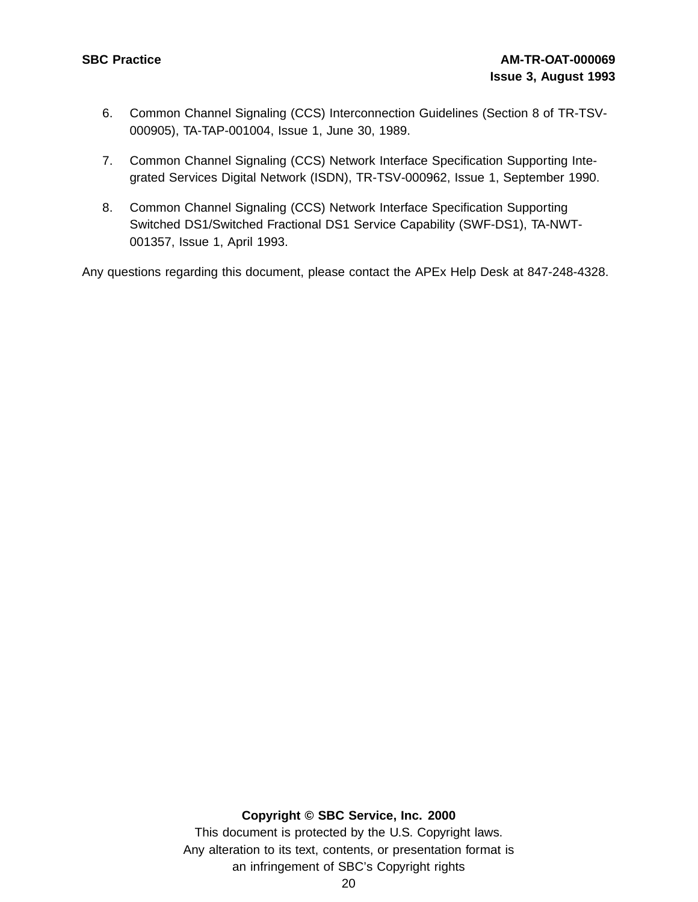- 6. Common Channel Signaling (CCS) Interconnection Guidelines (Section 8 of TR-TSV-000905), TA-TAP-001004, Issue 1, June 30, 1989.
- 7. Common Channel Signaling (CCS) Network Interface Specification Supporting Integrated Services Digital Network (ISDN), TR-TSV-000962, Issue 1, September 1990.
- 8. Common Channel Signaling (CCS) Network Interface Specification Supporting Switched DS1/Switched Fractional DS1 Service Capability (SWF-DS1), TA-NWT-001357, Issue 1, April 1993.

Any questions regarding this document, please contact the APEx Help Desk at 847-248-4328.

#### **Copyright © SBC Service, Inc. 2000**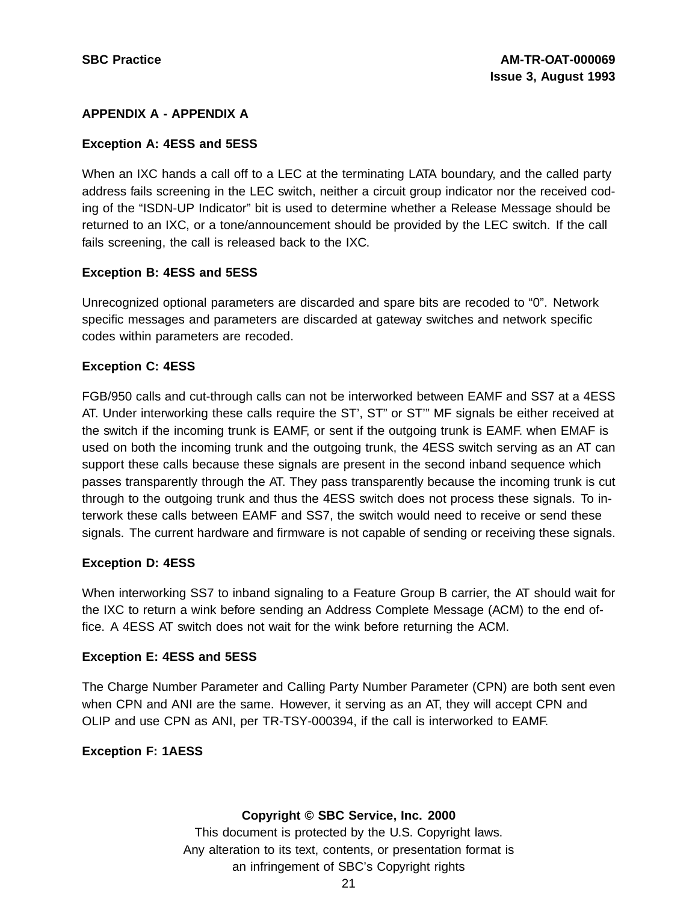## **APPENDIX A - APPENDIX A**

#### **Exception A: 4ESS and 5ESS**

When an IXC hands a call off to a LEC at the terminating LATA boundary, and the called party address fails screening in the LEC switch, neither a circuit group indicator nor the received coding of the "ISDN-UP Indicator" bit is used to determine whether a Release Message should be returned to an IXC, or a tone/announcement should be provided by the LEC switch. If the call fails screening, the call is released back to the IXC.

#### **Exception B: 4ESS and 5ESS**

Unrecognized optional parameters are discarded and spare bits are recoded to "0". Network specific messages and parameters are discarded at gateway switches and network specific codes within parameters are recoded.

## **Exception C: 4ESS**

FGB/950 calls and cut-through calls can not be interworked between EAMF and SS7 at a 4ESS AT. Under interworking these calls require the ST', ST" or ST"" MF signals be either received at the switch if the incoming trunk is EAMF, or sent if the outgoing trunk is EAMF. when EMAF is used on both the incoming trunk and the outgoing trunk, the 4ESS switch serving as an AT can support these calls because these signals are present in the second inband sequence which passes transparently through the AT. They pass transparently because the incoming trunk is cut through to the outgoing trunk and thus the 4ESS switch does not process these signals. To interwork these calls between EAMF and SS7, the switch would need to receive or send these signals. The current hardware and firmware is not capable of sending or receiving these signals.

#### **Exception D: 4ESS**

When interworking SS7 to inband signaling to a Feature Group B carrier, the AT should wait for the IXC to return a wink before sending an Address Complete Message (ACM) to the end office. A 4ESS AT switch does not wait for the wink before returning the ACM.

#### **Exception E: 4ESS and 5ESS**

The Charge Number Parameter and Calling Party Number Parameter (CPN) are both sent even when CPN and ANI are the same. However, it serving as an AT, they will accept CPN and OLIP and use CPN as ANI, per TR-TSY-000394, if the call is interworked to EAMF.

#### **Exception F: 1AESS**

#### **Copyright © SBC Service, Inc. 2000**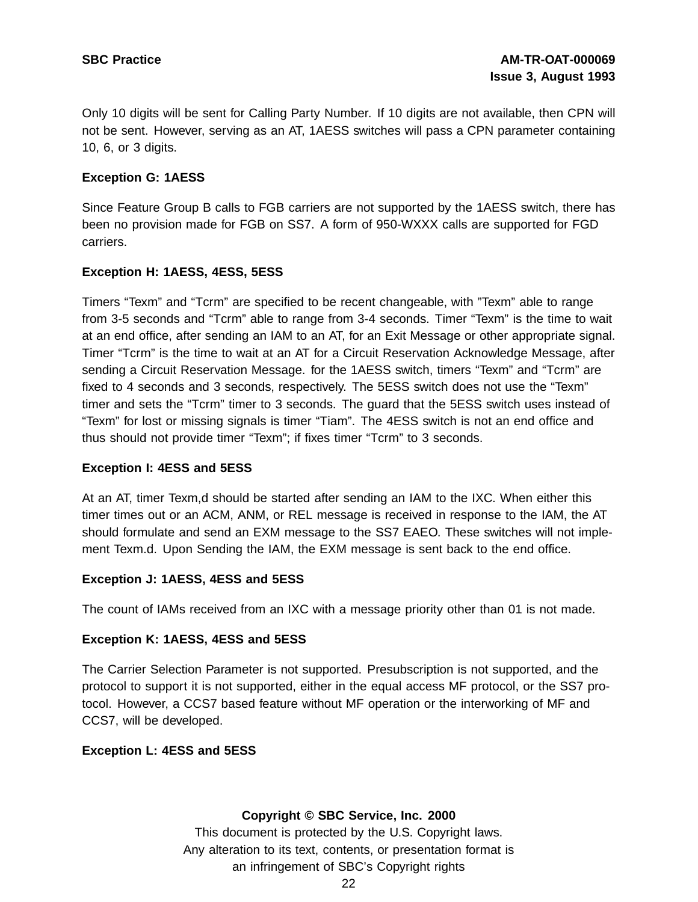Only 10 digits will be sent for Calling Party Number. If 10 digits are not available, then CPN will not be sent. However, serving as an AT, 1AESS switches will pass a CPN parameter containing 10, 6, or 3 digits.

#### **Exception G: 1AESS**

Since Feature Group B calls to FGB carriers are not supported by the 1AESS switch, there has been no provision made for FGB on SS7. A form of 950-WXXX calls are supported for FGD carriers.

#### **Exception H: 1AESS, 4ESS, 5ESS**

Timers "Texm" and "Tcrm" are specified to be recent changeable, with "Texm" able to range from 3-5 seconds and "Tcrm" able to range from 3-4 seconds. Timer "Texm" is the time to wait at an end office, after sending an IAM to an AT, for an Exit Message or other appropriate signal. Timer "Tcrm" is the time to wait at an AT for a Circuit Reservation Acknowledge Message, after sending a Circuit Reservation Message. for the 1AESS switch, timers "Texm" and "Tcrm" are fixed to 4 seconds and 3 seconds, respectively. The 5ESS switch does not use the "Texm" timer and sets the "Tcrm" timer to 3 seconds. The guard that the 5ESS switch uses instead of "Texm" for lost or missing signals is timer "Tiam". The 4ESS switch is not an end office and thus should not provide timer "Texm"; if fixes timer "Tcrm" to 3 seconds.

#### **Exception I: 4ESS and 5ESS**

At an AT, timer Texm,d should be started after sending an IAM to the IXC. When either this timer times out or an ACM, ANM, or REL message is received in response to the IAM, the AT should formulate and send an EXM message to the SS7 EAEO. These switches will not implement Texm.d. Upon Sending the IAM, the EXM message is sent back to the end office.

#### **Exception J: 1AESS, 4ESS and 5ESS**

The count of IAMs received from an IXC with a message priority other than 01 is not made.

#### **Exception K: 1AESS, 4ESS and 5ESS**

The Carrier Selection Parameter is not supported. Presubscription is not supported, and the protocol to support it is not supported, either in the equal access MF protocol, or the SS7 protocol. However, a CCS7 based feature without MF operation or the interworking of MF and CCS7, will be developed.

#### **Exception L: 4ESS and 5ESS**

#### **Copyright © SBC Service, Inc. 2000**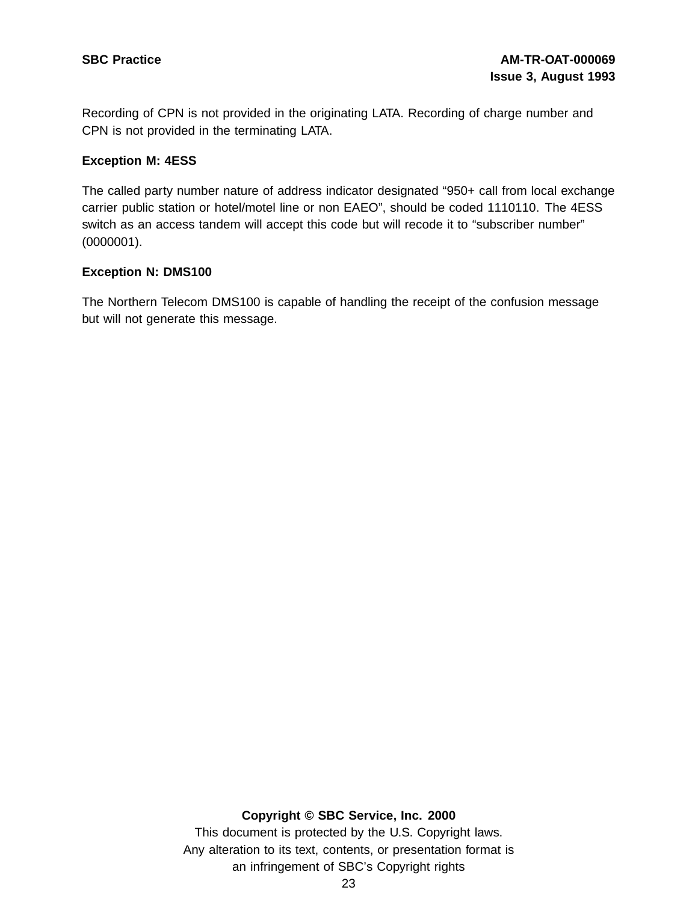Recording of CPN is not provided in the originating LATA. Recording of charge number and CPN is not provided in the terminating LATA.

#### **Exception M: 4ESS**

The called party number nature of address indicator designated "950+ call from local exchange carrier public station or hotel/motel line or non EAEO", should be coded 1110110. The 4ESS switch as an access tandem will accept this code but will recode it to "subscriber number" (0000001).

#### **Exception N: DMS100**

The Northern Telecom DMS100 is capable of handling the receipt of the confusion message but will not generate this message.

#### **Copyright © SBC Service, Inc. 2000**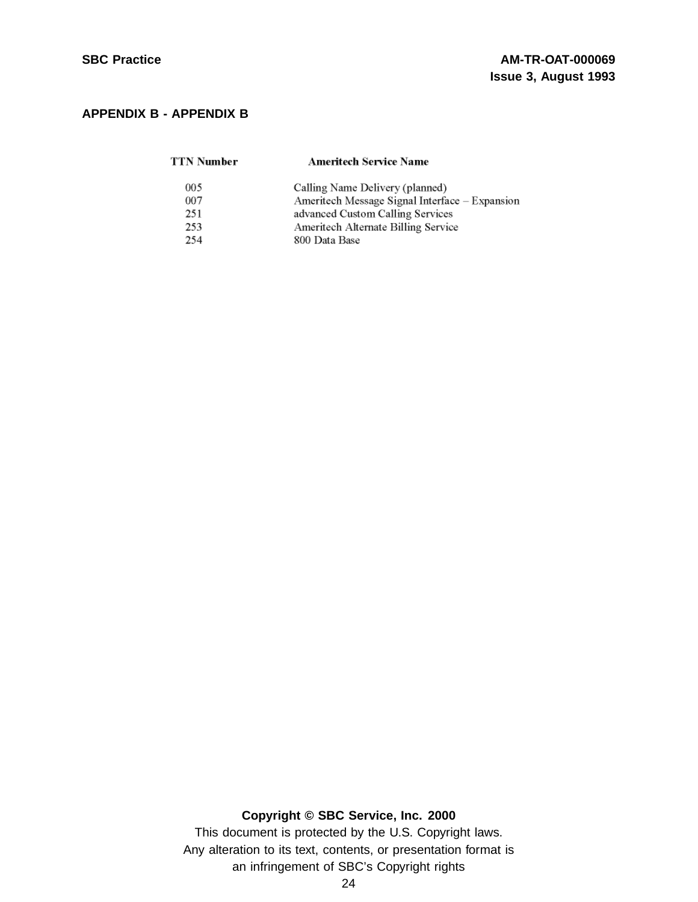## **APPENDIX B - APPENDIX B**

| <b>TTN Number</b> | Ameritech Service Name                         |  |  |
|-------------------|------------------------------------------------|--|--|
| 005               | Calling Name Delivery (planned)                |  |  |
| 007               | Ameritech Message Signal Interface – Expansion |  |  |
| 251               | advanced Custom Calling Services               |  |  |
| 253               | Ameritech Alternate Billing Service            |  |  |
| 254               | 800 Data Base                                  |  |  |

## **Copyright © SBC Service, Inc. 2000**